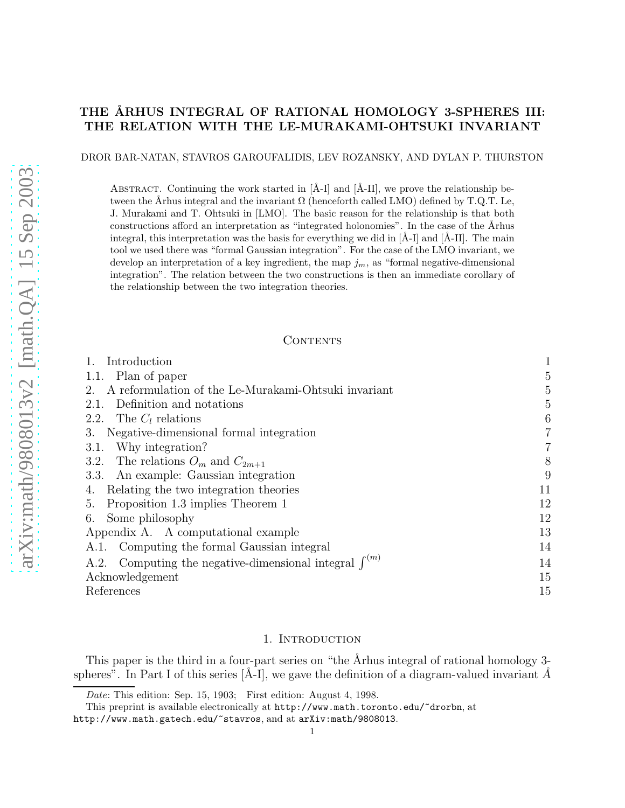# THE ÅRHUS INTEGRAL OF RATIONAL HOMOLOGY 3-SPHERES III: THE RELATION WITH THE LE-MURAKAMI-OHTSUKI INVARIANT

DROR BAR-NATAN, STAVROS GAROUFALIDIS, LEV ROZANSKY, AND DYLAN P. THURSTON

ABSTRACT. Continuing the work started in  $[\AA$ -I] and  $[\AA$ -II], we prove the relationship between the Århus integral and the invariant  $\Omega$  (henceforth called LMO) defined by T.Q.T. Le, J. Murakami and T. Ohtsuki in [LMO]. The basic reason for the relationship is that both constructions afford an interpretation as "integrated holonomies". In the case of the Arhus integral, this interpretation was the basis for everything we did in  $[\tilde{A}-I]$  and  $[\tilde{A}-II]$ . The main tool we used there was "formal Gaussian integration". For the case of the LMO invariant, we develop an interpretation of a key ingredient, the map  $j_m$ , as "formal negative-dimensional integration". The relation between the two constructions is then an immediate corollary of the relationship between the two integration theories.

#### CONTENTS

| Introduction                                                  | $\mathbf{1}$   |
|---------------------------------------------------------------|----------------|
| 1.1. Plan of paper                                            | 5              |
| A reformulation of the Le-Murakami-Ohtsuki invariant<br>2.    | 5              |
| Definition and notations<br>2.1.                              | 5              |
| The $C_l$ relations<br>2.2.                                   | 6              |
| 3. Negative-dimensional formal integration                    | 7              |
| Why integration?<br>3.1.                                      | $\overline{7}$ |
| 3.2. The relations $O_m$ and $C_{2m+1}$                       | 8              |
| 3.3. An example: Gaussian integration                         | 9              |
| Relating the two integration theories<br>4.                   | 11             |
| Proposition 1.3 implies Theorem 1<br>5.                       | 12             |
| Some philosophy<br>6.                                         | 12             |
| Appendix A. A computational example                           | 13             |
| A.1. Computing the formal Gaussian integral                   | 14             |
| A.2. Computing the negative-dimensional integral $\int^{(m)}$ | 14             |
| Acknowledgement                                               | 15             |
| References                                                    | 15             |

## 1. INTRODUCTION

This paper is the third in a four-part series on "the Arhus integral of rational homology 3spheres". In Part I of this series  $[\tilde{A}-I]$ , we gave the definition of a diagram-valued invariant  $\tilde{A}$ 

Date: This edition: Sep. 15, 1903; First edition: August 4, 1998.

This preprint is available electronically at http://www.math.toronto.edu/~drorbn, at

http://www.math.gatech.edu/~stavros, and at arXiv:math/9808013.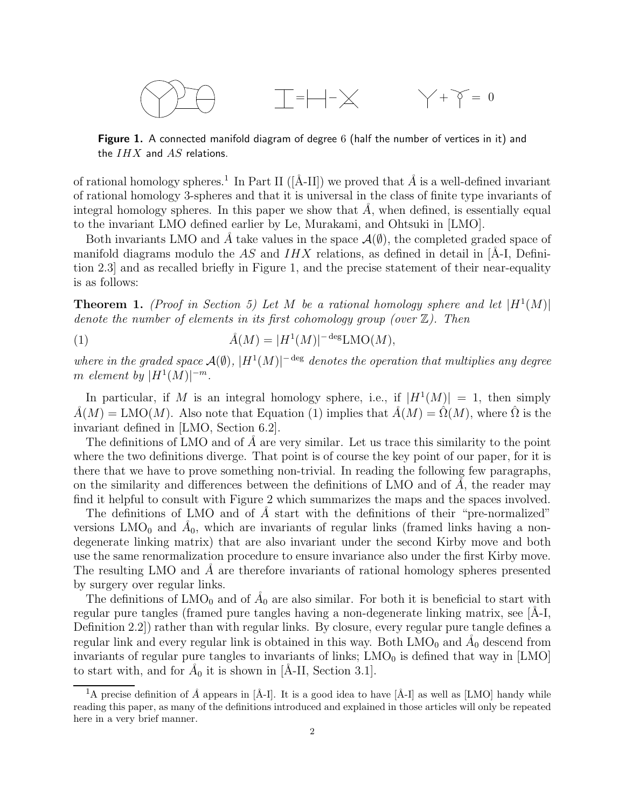$$
\bigotimes\bigotimes\bigoplus\qquad \qquad \underline{\top}=\left|\!-\!\right|\!-\!\times\qquad \qquad \diagdown\,+\,\gamma\,=\,0
$$

**Figure 1.** A connected manifold diagram of degree 6 (half the number of vertices in it) and the  $IHX$  and  $AS$  relations.

of rational homology spheres.<sup>1</sup> In Part II ([Å-II]) we proved that  $\hat{A}$  is a well-defined invariant of rational homology 3-spheres and that it is universal in the class of finite type invariants of integral homology spheres. In this paper we show that  $\tilde{A}$ , when defined, is essentially equal to the invariant LMO defined earlier by Le, Murakami, and Ohtsuki in [LMO].

Both invariants LMO and A take values in the space  $\mathcal{A}(\emptyset)$ , the completed graded space of manifold diagrams modulo the AS and  $IHX$  relations, as defined in detail in [Å-I, Definition 2.3] and as recalled briefly in Figure 1, and the precise statement of their near-equality is as follows:

**Theorem 1.** (Proof in Section 5) Let M be a rational homology sphere and let  $|H^1(M)|$ denote the number of elements in its first cohomology group (over  $\mathbb{Z}$ ). Then

(1) 
$$
\hat{A}(M) = |H^1(M)|^{-\deg} \text{LMO}(M),
$$

where in the graded space  $\mathcal{A}(\emptyset)$ ,  $|H^1(M)|^{-\text{deg}}$  denotes the operation that multiplies any degree m element by  $|H^1(M)|^{-m}$ .

In particular, if M is an integral homology sphere, i.e., if  $|H^1(M)| = 1$ , then simply  $\hat{A}(M) = \text{LMO}(M)$ . Also note that Equation (1) implies that  $\hat{A}(M) = \hat{\Omega}(M)$ , where  $\hat{\Omega}$  is the invariant defined in [LMO, Section 6.2].

The definitions of LMO and of  $\tilde{A}$  are very similar. Let us trace this similarity to the point where the two definitions diverge. That point is of course the key point of our paper, for it is there that we have to prove something non-trivial. In reading the following few paragraphs, on the similarity and differences between the definitions of LMO and of  $\ddot{A}$ , the reader may find it helpful to consult with Figure 2 which summarizes the maps and the spaces involved.

The definitions of LMO and of  $\AA$  start with the definitions of their "pre-normalized" versions  $LMO_0$  and  $Å_0$ , which are invariants of regular links (framed links having a nondegenerate linking matrix) that are also invariant under the second Kirby move and both use the same renormalization procedure to ensure invariance also under the first Kirby move. The resulting LMO and A are therefore invariants of rational homology spheres presented by surgery over regular links.

The definitions of  $LMO_0$  and of  $Å_0$  are also similar. For both it is beneficial to start with regular pure tangles (framed pure tangles having a non-degenerate linking matrix, see  $[A-1]$ , Definition 2.2]) rather than with regular links. By closure, every regular pure tangle defines a regular link and every regular link is obtained in this way. Both  $LMO_0$  and  $A_0$  descend from invariants of regular pure tangles to invariants of links;  $LMO<sub>0</sub>$  is defined that way in [LMO] to start with, and for  $\dot{A}_0$  it is shown in [Å-II, Section 3.1].

<sup>&</sup>lt;sup>1</sup>A precise definition of  $\AA$  appears in [Å-I]. It is a good idea to have [Å-I] as well as [LMO] handy while reading this paper, as many of the definitions introduced and explained in those articles will only be repeated here in a very brief manner.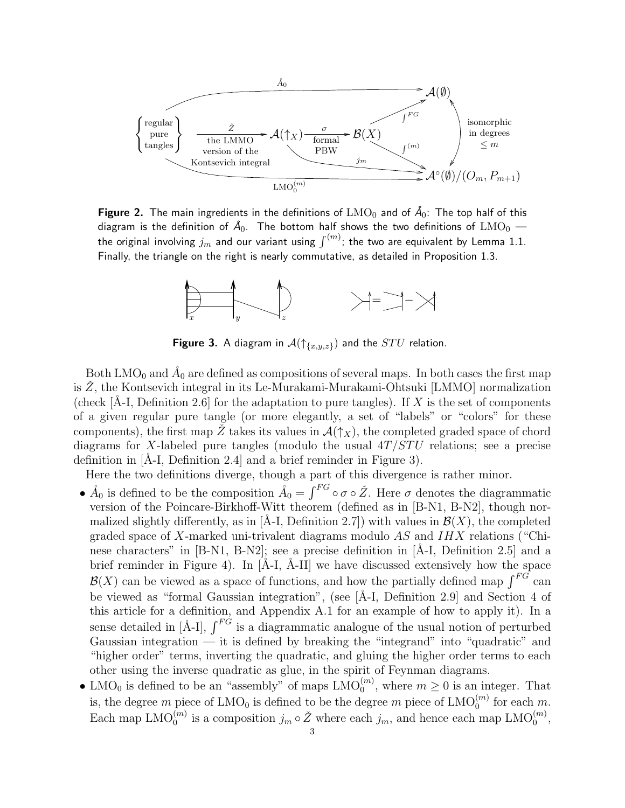

Figure 2. The main ingredients in the definitions of  $\text{LMO}_0$  and of  $\AA_0$ : The top half of this diagram is the definition of  $\AA_0$ . The bottom half shows the two definitions of  $\text{LMO}_0$  the original involving  $j_m$  and our variant using  $\int^{(m)}$ ; the two are equivalent by Lemma 1.1. Finally, the triangle on the right is nearly commutative, as detailed in Proposition 1.3.



**Figure 3.** A diagram in  $\mathcal{A}(\uparrow_{\{x,y,z\}})$  and the  $STU$  relation.

Both LMO<sub>0</sub> and  $Å_0$  are defined as compositions of several maps. In both cases the first map is  $\tilde{Z}$ , the Kontsevich integral in its Le-Murakami-Murakami-Ohtsuki [LMMO] normalization (check  $[A-I, Definition 2.6]$  for the adaptation to pure tangles). If X is the set of components of a given regular pure tangle (or more elegantly, a set of "labels" or "colors" for these components), the first map  $\ddot{Z}$  takes its values in  $\mathcal{A}(\uparrow_{X})$ , the completed graded space of chord diagrams for X-labeled pure tangles (modulo the usual  $4T/STU$  relations; see a precise definition in  $[A-I, Definition 2.4]$  and a brief reminder in Figure 3).

Here the two definitions diverge, though a part of this divergence is rather minor.

- $\AA_0$  is defined to be the composition  $\AA_0 = \int^{FG} \circ \sigma \circ \check{Z}$ . Here  $\sigma$  denotes the diagrammatic version of the Poincare-Birkhoff-Witt theorem (defined as in [B-N1, B-N2], though normalized slightly differently, as in [Å-I, Definition 2.7]) with values in  $\mathcal{B}(X)$ , the completed graded space of X-marked uni-trivalent diagrams modulo  $AS$  and  $IHX$  relations ("Chinese characters" in  $[B-N1, B-N2]$ ; see a precise definition in  $[A-I, Definition 2.5]$  and a brief reminder in Figure 4). In  $[\AA - I, \AA - II]$  we have discussed extensively how the space  $\mathcal{B}(X)$  can be viewed as a space of functions, and how the partially defined map  $\int^{FG}$  can be viewed as "formal Gaussian integration", (see [Å-I, Definition 2.9] and Section 4 of this article for a definition, and Appendix A.1 for an example of how to apply it). In a sense detailed in  $[\hat{A}-I]$ ,  $\int^{F\hat{G}}$  is a diagrammatic analogue of the usual notion of perturbed Gaussian integration — it is defined by breaking the "integrand" into "quadratic" and "higher order" terms, inverting the quadratic, and gluing the higher order terms to each other using the inverse quadratic as glue, in the spirit of Feynman diagrams.
- LMO<sub>0</sub> is defined to be an "assembly" of maps  $\text{LMO}_{0}^{(m)}$ , where  $m \geq 0$  is an integer. That is, the degree m piece of  $\text{LMO}_0$  is defined to be the degree m piece of  $\text{LMO}_0^{(m)}$  for each m. Each map  $\text{LMO}_{0}^{(m)}$  is a composition  $j_m \circ \check{Z}$  where each  $j_m$ , and hence each map  $\text{LMO}_{0}^{(m)}$ ,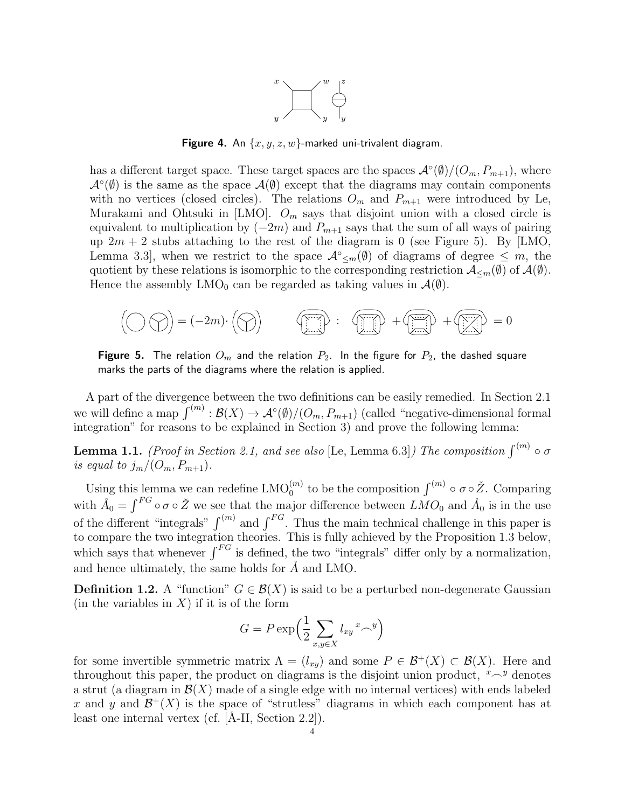

Figure 4. An  $\{x, y, z, w\}$ -marked uni-trivalent diagram.

has a different target space. These target spaces are the spaces  $\mathcal{A}^{\circ}(\emptyset)/(O_m, P_{m+1})$ , where  $\mathcal{A}^{\circ}(\emptyset)$  is the same as the space  $\mathcal{A}(\emptyset)$  except that the diagrams may contain components with no vertices (closed circles). The relations  $O_m$  and  $P_{m+1}$  were introduced by Le, Murakami and Ohtsuki in [LMO].  $O_m$  says that disjoint union with a closed circle is equivalent to multiplication by  $(-2m)$  and  $P_{m+1}$  says that the sum of all ways of pairing up  $2m + 2$  stubs attaching to the rest of the diagram is 0 (see Figure 5). By [LMO, Lemma 3.3, when we restrict to the space  $\mathcal{A}^{\circ}_{\leq m}(\emptyset)$  of diagrams of degree  $\leq m$ , the quotient by these relations is isomorphic to the corresponding restriction  $\mathcal{A}_{\leq m}(\emptyset)$  of  $\mathcal{A}(\emptyset)$ . Hence the assembly  $LMO_0$  can be regarded as taking values in  $\mathcal{A}(\emptyset)$ .

$$
\left(\bigcirc\bigcirc\bigcirc\right)=(-2m)\cdot\left(\bigcirc\right) \qquad \qquad \text{and} \qquad \qquad \text{and} \qquad \qquad +\text{and} \qquad \qquad +\text{and} \qquad \qquad =0
$$

Figure 5. The relation  $O_m$  and the relation  $P_2$ . In the figure for  $P_2$ , the dashed square marks the parts of the diagrams where the relation is applied.

A part of the divergence between the two definitions can be easily remedied. In Section 2.1 we will define a map  $\int^{(m)} : \mathcal{B}(X) \to \mathcal{A}^{\circ}(\emptyset) / (O_m, P_{m+1})$  (called "negative-dimensional formal integration" for reasons to be explained in Section 3) and prove the following lemma:

**Lemma 1.1.** (Proof in Section 2.1, and see also [Le, Lemma 6.3]) The composition  $\int^{(m)} \circ \sigma$ is equal to  $j_m/(O_m, P_{m+1})$ .

Using this lemma we can redefine  $\text{LMO}_{0}^{(m)}$  to be the composition  $\int^{(m)} \circ \sigma \circ \check{Z}$ . Comparing with  $\AA_0 = \int^{FG} \circ \sigma \circ \check{Z}$  we see that the major difference between  $\check{LMO}_0$  and  $\AA_0$  is in the use of the different "integrals"  $\int^{(m)}$  and  $\int^{FG}$ . Thus the main technical challenge in this paper is to compare the two integration theories. This is fully achieved by the Proposition 1.3 below, which says that whenever  $\int^{FG}$  is defined, the two "integrals" differ only by a normalization, and hence ultimately, the same holds for  $\AA$  and LMO.

**Definition 1.2.** A "function"  $G \in \mathcal{B}(X)$  is said to be a perturbed non-degenerate Gaussian (in the variables in  $X$ ) if it is of the form

$$
G = P \exp\left(\frac{1}{2} \sum_{x,y \in X} l_{xy} {x - y}\right)
$$

for some invertible symmetric matrix  $\Lambda = (l_{xy})$  and some  $P \in \mathcal{B}^+(X) \subset \mathcal{B}(X)$ . Here and throughout this paper, the product on diagrams is the disjoint union product,  $x \sim y$  denotes a strut (a diagram in  $\mathcal{B}(X)$  made of a single edge with no internal vertices) with ends labeled x and y and  $\mathcal{B}^+(X)$  is the space of "strutless" diagrams in which each component has at least one internal vertex (cf.  $[\text{Å-II}, \text{Section 2.2}].$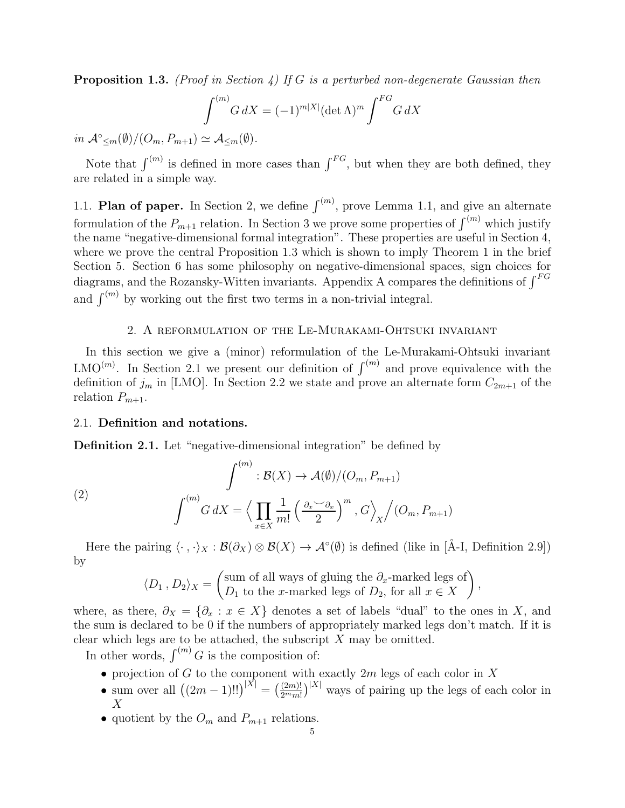**Proposition 1.3.** (Proof in Section 4) If G is a perturbed non-degenerate Gaussian then

$$
\int^{(m)} G dX = (-1)^{m|X|} (\det \Lambda)^m \int^{FG} G dX
$$

 $in \mathcal{A}^{\circ}_{\leq m}(\emptyset)/(O_m, P_{m+1}) \simeq \mathcal{A}_{\leq m}(\emptyset).$ 

Note that  $\int^{(m)}$  is defined in more cases than  $\int^{FG}$ , but when they are both defined, they are related in a simple way.

1.1. Plan of paper. In Section 2, we define  $\int^{(m)}$ , prove Lemma 1.1, and give an alternate formulation of the  $P_{m+1}$  relation. In Section 3 we prove some properties of  $\int^{(m)}$  which justify the name "negative-dimensional formal integration". These properties are useful in Section 4, where we prove the central Proposition 1.3 which is shown to imply Theorem 1 in the brief Section 5. Section 6 has some philosophy on negative-dimensional spaces, sign choices for diagrams, and the Rozansky-Witten invariants. Appendix A compares the definitions of  $\int^{FG}$ and  $\int^{(m)}$  by working out the first two terms in a non-trivial integral.

# 2. A reformulation of the Le-Murakami-Ohtsuki invariant

In this section we give a (minor) reformulation of the Le-Murakami-Ohtsuki invariant LMO<sup>(m)</sup>. In Section 2.1 we present our definition of  $\int^{(m)}$  and prove equivalence with the definition of  $j_m$  in [LMO]. In Section 2.2 we state and prove an alternate form  $C_{2m+1}$  of the relation  $P_{m+1}$ .

## 2.1. Definition and notations.

Definition 2.1. Let "negative-dimensional integration" be defined by

(2) 
$$
\int^{(m)} : \mathcal{B}(X) \to \mathcal{A}(\emptyset) / (O_m, P_{m+1})
$$

$$
\int^{(m)} G \, dX = \left\langle \prod_{x \in X} \frac{1}{m!} \left( \frac{\partial_x \vee \partial_x}{2} \right)^m, G \right\rangle_X / (O_m, P_{m+1})
$$

Here the pairing  $\langle \cdot , \cdot \rangle_X : \mathcal{B}(\partial_X) \otimes \mathcal{B}(X) \to \mathcal{A}^{\circ}(\emptyset)$  is defined (like in [Å-I, Definition 2.9]) by

$$
\langle D_1, D_2 \rangle_X = \begin{pmatrix} \text{sum of all ways of gluing the } \partial_x\text{-marked legs of} \\ D_1 \text{ to the } x\text{-marked legs of } D_2 \text{, for all } x \in X \end{pmatrix},
$$

where, as there,  $\partial_X = {\partial_x : x \in X}$  denotes a set of labels "dual" to the ones in X, and the sum is declared to be 0 if the numbers of appropriately marked legs don't match. If it is clear which legs are to be attached, the subscript  $X$  may be omitted.

In other words,  $\int^{(m)} G$  is the composition of:

- projection of  $G$  to the component with exactly  $2m$  legs of each color in  $X$
- sum over all  $((2m-1)!!)^{|X|} = \left(\frac{(2m)!}{2^m m!}\right)^{|X|}$  ways of pairing up the legs of each color in  $\boldsymbol{X}$
- quotient by the  $O_m$  and  $P_{m+1}$  relations.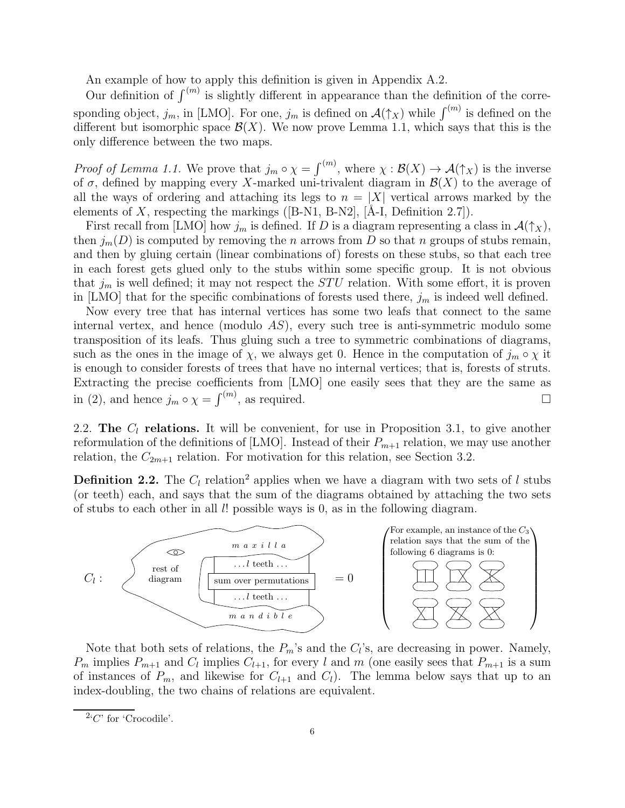An example of how to apply this definition is given in Appendix A.2.

Our definition of  $\int^{(m)}$  is slightly different in appearance than the definition of the corresponding object,  $j_m$ , in [LMO]. For one,  $j_m$  is defined on  $\mathcal{A}(\uparrow_X)$  while  $\int^{(m)}$  is defined on the different but isomorphic space  $\mathcal{B}(X)$ . We now prove Lemma 1.1, which says that this is the only difference between the two maps.

*Proof of Lemma 1.1.* We prove that  $j_m \circ \chi = \int^{(m)}$ , where  $\chi : \mathcal{B}(X) \to \mathcal{A}(\uparrow_X)$  is the inverse of  $\sigma$ , defined by mapping every X-marked uni-trivalent diagram in  $\mathcal{B}(X)$  to the average of all the ways of ordering and attaching its legs to  $n = |X|$  vertical arrows marked by the elements of X, respecting the markings ( $[B-N1, B-N2]$ ,  $[A-I, Definition 2.7]$ ).

First recall from [LMO] how  $j_m$  is defined. If D is a diagram representing a class in  $\mathcal{A}(\uparrow_X)$ , then  $j_m(D)$  is computed by removing the n arrows from D so that n groups of stubs remain, and then by gluing certain (linear combinations of) forests on these stubs, so that each tree in each forest gets glued only to the stubs within some specific group. It is not obvious that  $j_m$  is well defined; it may not respect the  $STU$  relation. With some effort, it is proven in [LMO] that for the specific combinations of forests used there,  $j_m$  is indeed well defined.

Now every tree that has internal vertices has some two leafs that connect to the same internal vertex, and hence (modulo  $AS$ ), every such tree is anti-symmetric modulo some transposition of its leafs. Thus gluing such a tree to symmetric combinations of diagrams, such as the ones in the image of  $\chi$ , we always get 0. Hence in the computation of  $j_m \circ \chi$  it is enough to consider forests of trees that have no internal vertices; that is, forests of struts. Extracting the precise coefficients from [LMO] one easily sees that they are the same as in (2), and hence  $j_m \circ \chi = \int^{(m)}$ , as required.

2.2. The  $C_l$  relations. It will be convenient, for use in Proposition 3.1, to give another reformulation of the definitions of [LMO]. Instead of their  $P_{m+1}$  relation, we may use another relation, the  $C_{2m+1}$  relation. For motivation for this relation, see Section 3.2.

**Definition 2.2.** The  $C_l$  relation<sup>2</sup> applies when we have a diagram with two sets of l stubs (or teeth) each, and says that the sum of the diagrams obtained by attaching the two sets of stubs to each other in all  $l!$  possible ways is 0, as in the following diagram.



Note that both sets of relations, the  $P_m$ 's and the  $C_l$ 's, are decreasing in power. Namely,  $P_m$  implies  $P_{m+1}$  and  $C_l$  implies  $C_{l+1}$ , for every l and m (one easily sees that  $P_{m+1}$  is a sum of instances of  $P_m$ , and likewise for  $C_{l+1}$  and  $C_l$ ). The lemma below says that up to an index-doubling, the two chains of relations are equivalent.

 $^{2}C'$  for 'Crocodile'.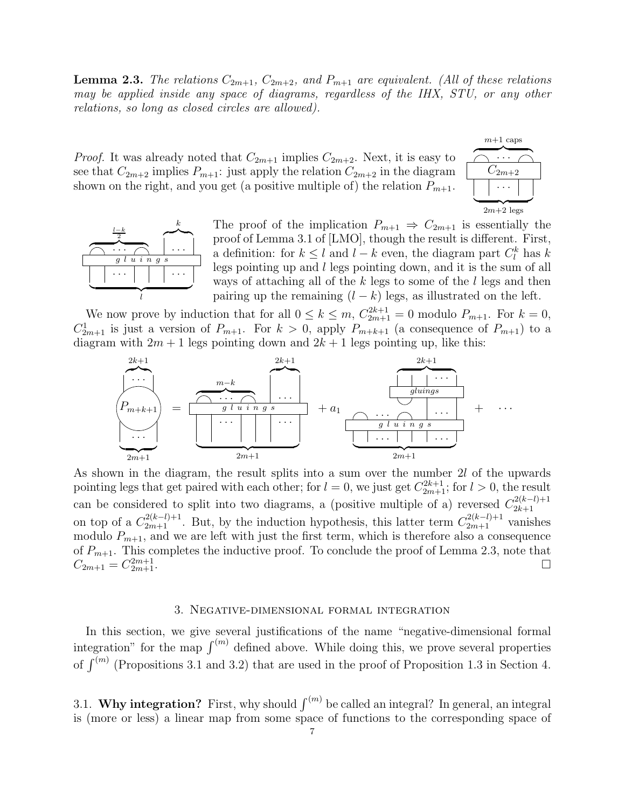**Lemma 2.3.** The relations  $C_{2m+1}$ ,  $C_{2m+2}$ , and  $P_{m+1}$  are equivalent. (All of these relations may be applied inside any space of diagrams, regardless of the IHX, STU, or any other relations, so long as closed circles are allowed).

*Proof.* It was already noted that  $C_{2m+1}$  implies  $C_{2m+2}$ . Next, it is easy to see that  $C_{2m+2}$  implies  $P_{m+1}$ : just apply the relation  $C_{2m+2}$  in the diagram shown on the right, and you get (a positive multiple of) the relation  $P_{m+1}$ .





The proof of the implication  $P_{m+1} \Rightarrow C_{2m+1}$  is essentially the proof of Lemma 3.1 of [LMO], though the result is different. First, a definition: for  $k \leq l$  and  $l - k$  even, the diagram part  $C_l^k$  has k legs pointing up and  $l$  legs pointing down, and it is the sum of all ways of attaching all of the  $k$  legs to some of the  $l$  legs and then pairing up the remaining  $(l - k)$  legs, as illustrated on the left.

We now prove by induction that for all  $0 \le k \le m$ ,  $C_{2m+1}^{2k+1} = 0$  modulo  $P_{m+1}$ . For  $k = 0$ ,  $C_{2m+1}^1$  is just a version of  $P_{m+1}$ . For  $k > 0$ , apply  $P_{m+k+1}$  (a consequence of  $P_{m+1}$ ) to a diagram with  $2m + 1$  legs pointing down and  $2k + 1$  legs pointing up, like this:

$$
\begin{array}{c}\n 2k+1 \\
\hline\n \vdots \\
P_{m+k+1} \\
\hline\n \vdots \\
\hline\n 2m+1\n\end{array}\n=\n\begin{array}{c}\n 2k+1 \\
\hline\n 2k+1 \\
\hline\n 2k+1 \\
\hline\n 2m+1\n\end{array}\n+ a_1\n\begin{array}{c}\n 2k+1 \\
\hline\n 2k+1 \\
\hline\n 2m+1\n\end{array}\n+ ...
$$

As shown in the diagram, the result splits into a sum over the number 2l of the upwards pointing legs that get paired with each other; for  $l = 0$ , we just get  $C_{2m+1}^{2k+1}$ ; for  $l > 0$ , the result can be considered to split into two diagrams, a (positive multiple of a) reversed  $C_{2k+1}^{2(k-l)+1}$ 2k+1 on top of a  $C_{2m+1}^{2(k-l)+1}$ . But, by the induction hypothesis, this latter term  $C_{2m+1}^{2(k-l)+1}$  vanishes modulo  $P_{m+1}$ , and we are left with just the first term, which is therefore also a consequence of  $P_{m+1}$ . This completes the inductive proof. To conclude the proof of Lemma 2.3, note that  $C_{2m+1} = C_{2m+1}^{2m+1}$  $2m+1$ .

#### 3. Negative-dimensional formal integration

In this section, we give several justifications of the name "negative-dimensional formal integration" for the map  $\int^{(m)}$  defined above. While doing this, we prove several properties of  $\int^{(m)}$  (Propositions 3.1 and 3.2) that are used in the proof of Proposition 1.3 in Section 4.

3.1. Why integration? First, why should  $\int^{(m)}$  be called an integral? In general, an integral is (more or less) a linear map from some space of functions to the corresponding space of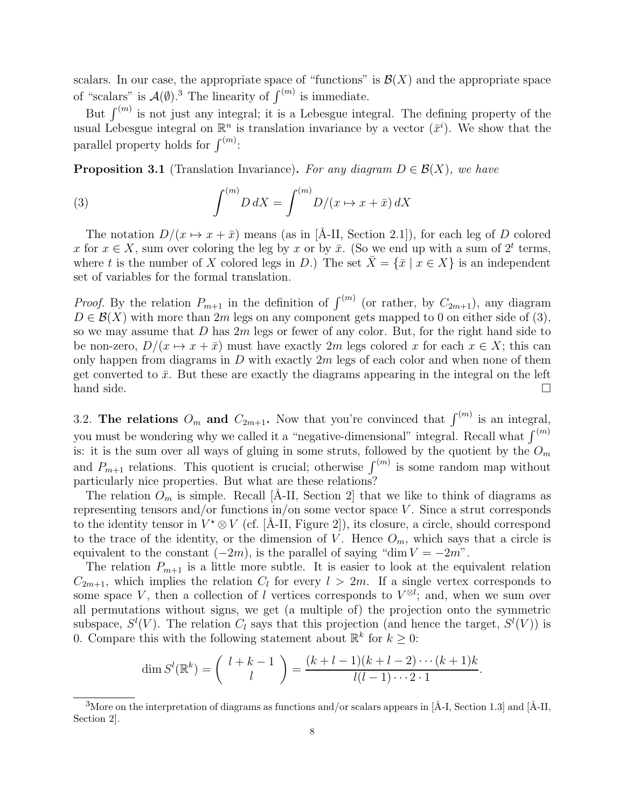scalars. In our case, the appropriate space of "functions" is  $\mathcal{B}(X)$  and the appropriate space of "scalars" is  $\mathcal{A}(\emptyset)$ .<sup>3</sup> The linearity of  $\int^{(m)}$  is immediate.

But  $\int^{(m)}$  is not just any integral; it is a Lebesgue integral. The defining property of the usual Lebesgue integral on  $\mathbb{R}^n$  is translation invariance by a vector  $(\bar{x}^i)$ . We show that the parallel property holds for  $\int^{(m)}$ :

**Proposition 3.1** (Translation Invariance). For any diagram  $D \in \mathcal{B}(X)$ , we have

(3) 
$$
\int^{(m)} D \, dX = \int^{(m)} D/(x \mapsto x + \bar{x}) \, dX
$$

The notation  $D/(x \mapsto x + \bar{x})$  means (as in [Å-II, Section 2.1]), for each leg of D colored x for  $x \in X$ , sum over coloring the leg by x or by  $\bar{x}$ . (So we end up with a sum of  $2^t$  terms, where t is the number of X colored legs in D.) The set  $X = \{\bar{x} \mid x \in X\}$  is an independent set of variables for the formal translation.

*Proof.* By the relation  $P_{m+1}$  in the definition of  $\int^{(m)}$  (or rather, by  $C_{2m+1}$ ), any diagram  $D \in \mathcal{B}(X)$  with more than 2m legs on any component gets mapped to 0 on either side of (3), so we may assume that  $D$  has  $2m$  legs or fewer of any color. But, for the right hand side to be non-zero,  $D/(x \mapsto x + \bar{x})$  must have exactly 2m legs colored x for each  $x \in X$ ; this can only happen from diagrams in  $D$  with exactly  $2m$  legs of each color and when none of them get converted to  $\bar{x}$ . But these are exactly the diagrams appearing in the integral on the left hand side.

3.2. The relations  $O_m$  and  $C_{2m+1}$ . Now that you're convinced that  $\int^{(m)}$  is an integral, you must be wondering why we called it a "negative-dimensional" integral. Recall what  $\int^{(m)}$ is: it is the sum over all ways of gluing in some struts, followed by the quotient by the  $O_m$ and  $P_{m+1}$  relations. This quotient is crucial; otherwise  $\int^{(m)}$  is some random map without particularly nice properties. But what are these relations?

The relation  $O_m$  is simple. Recall [Å-II, Section 2] that we like to think of diagrams as representing tensors and/or functions in/on some vector space  $V$ . Since a strut corresponds to the identity tensor in  $V^* \otimes V$  (cf. [Å-II, Figure 2]), its closure, a circle, should correspond to the trace of the identity, or the dimension of V. Hence  $O_m$ , which says that a circle is equivalent to the constant  $(-2m)$ , is the parallel of saying "dim  $V = -2m$ ".

The relation  $P_{m+1}$  is a little more subtle. It is easier to look at the equivalent relation  $C_{2m+1}$ , which implies the relation  $C_l$  for every  $l > 2m$ . If a single vertex corresponds to some space V, then a collection of l vertices corresponds to  $V^{\otimes l}$ ; and, when we sum over all permutations without signs, we get (a multiple of) the projection onto the symmetric subspace,  $S^l(V)$ . The relation  $C_l$  says that this projection (and hence the target,  $S^l(V)$ ) is 0. Compare this with the following statement about  $\mathbb{R}^k$  for  $k \geq 0$ :

$$
\dim S^{l}(\mathbb{R}^{k}) = {l + k - 1 \choose l} = \frac{(k + l - 1)(k + l - 2) \cdots (k + 1)k}{l(l - 1) \cdots 2 \cdot 1}.
$$

 $3$ More on the interpretation of diagrams as functions and/or scalars appears in [Å-I, Section 1.3] and [Å-II, Section 2].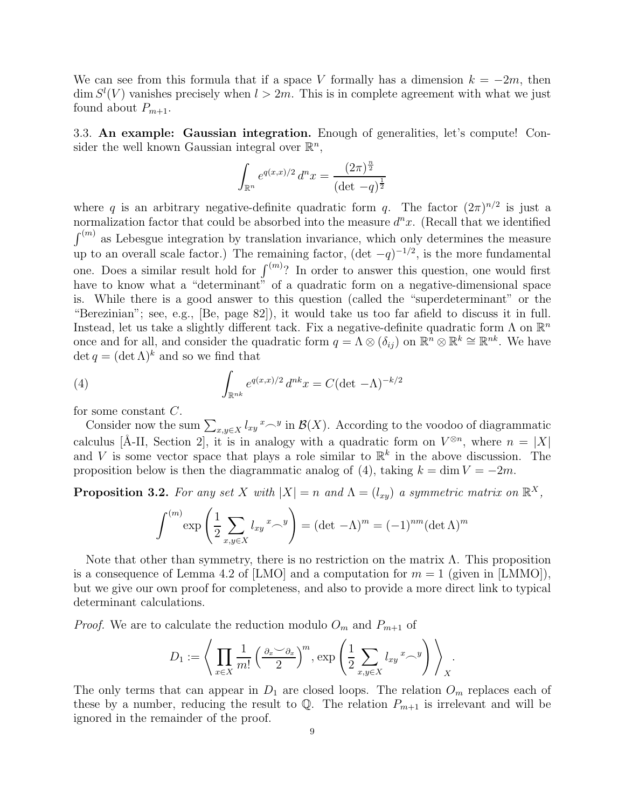We can see from this formula that if a space V formally has a dimension  $k = -2m$ , then  $\dim S^{l}(V)$  vanishes precisely when  $l > 2m$ . This is in complete agreement with what we just found about  $P_{m+1}$ .

3.3. An example: Gaussian integration. Enough of generalities, let's compute! Consider the well known Gaussian integral over  $\mathbb{R}^n$ ,

$$
\int_{\mathbb{R}^n} e^{q(x,x)/2} d^n x = \frac{(2\pi)^{\frac{n}{2}}}{(\det -q)^{\frac{1}{2}}}
$$

where q is an arbitrary negative-definite quadratic form q. The factor  $(2\pi)^{n/2}$  is just a normalization factor that could be absorbed into the measure  $d^n x$ . (Recall that we identified  $\int^{(m)}$  as Lebesgue integration by translation invariance, which only determines the measure up to an overall scale factor.) The remaining factor,  $(\det -q)^{-1/2}$ , is the more fundamental one. Does a similar result hold for  $\int^{(m)}$ ? In order to answer this question, one would first have to know what a "determinant" of a quadratic form on a negative-dimensional space is. While there is a good answer to this question (called the "superdeterminant" or the "Berezinian"; see, e.g., [Be, page 82]), it would take us too far afield to discuss it in full. Instead, let us take a slightly different tack. Fix a negative-definite quadratic form  $\Lambda$  on  $\mathbb{R}^n$ once and for all, and consider the quadratic form  $q = \Lambda \otimes (\delta_{ij})$  on  $\mathbb{R}^n \otimes \mathbb{R}^k \cong \mathbb{R}^{nk}$ . We have  $\det q = (\det \Lambda)^k$  and so we find that

(4) 
$$
\int_{\mathbb{R}^{nk}} e^{q(x,x)/2} d^{nk}x = C(\det - \Lambda)^{-k/2}
$$

for some constant C.

Consider now the sum  $\sum_{x,y\in X} l_{xy} x \sim^y \text{in } \mathcal{B}(X)$ . According to the voodoo of diagrammatic calculus [Å-II, Section 2], it is in analogy with a quadratic form on  $V^{\otimes n}$ , where  $n = |X|$ and V is some vector space that plays a role similar to  $\mathbb{R}^k$  in the above discussion. The proposition below is then the diagrammatic analog of (4), taking  $k = \dim V = -2m$ .

**Proposition 3.2.** For any set X with  $|X| = n$  and  $\Lambda = (l_{xy})$  a symmetric matrix on  $\mathbb{R}^{X}$ ,

$$
\int^{(m)} \exp\left(\frac{1}{2}\sum_{x,y\in X}l_{xy}x\right) = (\det -\Lambda)^m = (-1)^{nm}(\det \Lambda)^m
$$

Note that other than symmetry, there is no restriction on the matrix  $\Lambda$ . This proposition is a consequence of Lemma 4.2 of [LMO] and a computation for  $m = 1$  (given in [LMMO]), but we give our own proof for completeness, and also to provide a more direct link to typical determinant calculations.

*Proof.* We are to calculate the reduction modulo  $O_m$  and  $P_{m+1}$  of

$$
D_1 := \left\langle \prod_{x \in X} \frac{1}{m!} \left( \frac{\partial_x \vee \partial_x}{2} \right)^m, \exp \left( \frac{1}{2} \sum_{x,y \in X} l_{xy} x - y \right) \right\rangle_X.
$$

The only terms that can appear in  $D_1$  are closed loops. The relation  $O_m$  replaces each of these by a number, reducing the result to  $\mathbb{Q}$ . The relation  $P_{m+1}$  is irrelevant and will be ignored in the remainder of the proof.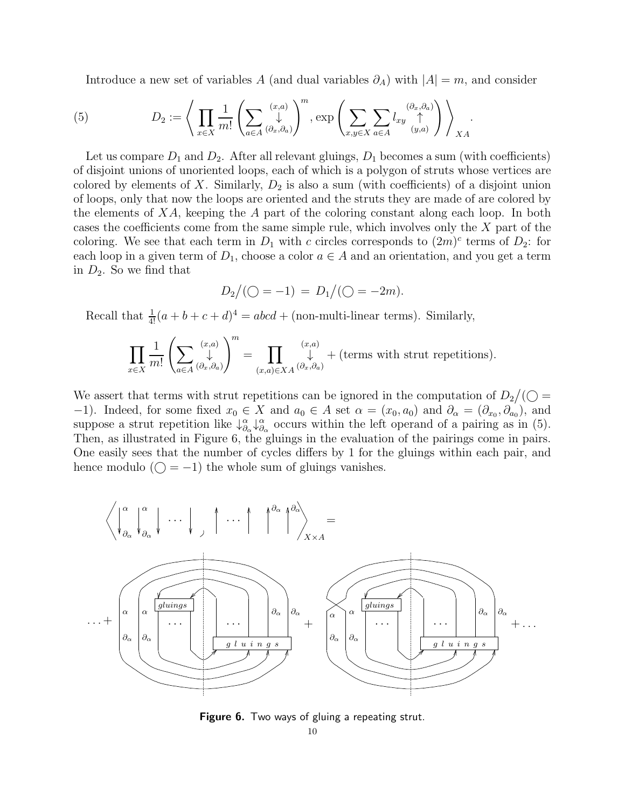Introduce a new set of variables A (and dual variables  $\partial_A$ ) with  $|A| = m$ , and consider

(5) 
$$
D_2 := \left\langle \prod_{x \in X} \frac{1}{m!} \left( \sum_{a \in A} \begin{pmatrix} x, a \\ \downarrow \\ a \in A \end{pmatrix}^m, \exp \left( \sum_{x, y \in X} \sum_{a \in A} l_{xy} \begin{pmatrix} \partial_x, \partial_a \\ \uparrow \\ (y, a) \end{pmatrix} \right) \right\rangle_{XA}.
$$

Let us compare  $D_1$  and  $D_2$ . After all relevant gluings,  $D_1$  becomes a sum (with coefficients) of disjoint unions of unoriented loops, each of which is a polygon of struts whose vertices are colored by elements of X. Similarly,  $D_2$  is also a sum (with coefficients) of a disjoint union of loops, only that now the loops are oriented and the struts they are made of are colored by the elements of  $XA$ , keeping the A part of the coloring constant along each loop. In both cases the coefficients come from the same simple rule, which involves only the X part of the coloring. We see that each term in  $D_1$  with c circles corresponds to  $(2m)^c$  terms of  $D_2$ : for each loop in a given term of  $D_1$ , choose a color  $a \in A$  and an orientation, and you get a term in  $D_2$ . So we find that

$$
D_2/(\bigcirc = -1) = D_1/(\bigcirc = -2m).
$$

Recall that  $\frac{1}{4!}(a+b+c+d)^4 = abcd + (non-multi-linear terms)$ . Similarly,

$$
\prod_{x \in X} \frac{1}{m!} \left( \sum_{a \in A} \left( \begin{matrix} (x,a) \\ \downarrow \\ (x,a) \in X \end{matrix} \right)^m = \prod_{(x,a) \in X} \left( \begin{matrix} (x,a) \\ \downarrow \\ (x,a) \in X \end{matrix} \right) + \text{(terms with strut repetitions)}.
$$

We assert that terms with strut repetitions can be ignored in the computation of  $D_2/(\bigcirc$ −1). Indeed, for some fixed  $x_0 \in X$  and  $a_0 \in A$  set  $\alpha = (x_0, a_0)$  and  $\partial_{\alpha} = (\partial_{x_0}, \partial_{a_0})$ , and suppose a strut repetition like  $\downarrow^{\alpha}_{\partial}$  $\overset{\alpha}{\partial_{\alpha}}\downarrow\overset{\alpha}{\partial_{\beta}}$  $\frac{\alpha}{\partial \alpha}$  occurs within the left operand of a pairing as in (5). Then, as illustrated in Figure 6, the gluings in the evaluation of the pairings come in pairs. One easily sees that the number of cycles differs by 1 for the gluings within each pair, and hence modulo ( $\bigcirc$  = -1) the whole sum of gluings vanishes.



Figure 6. Two ways of gluing a repeating strut.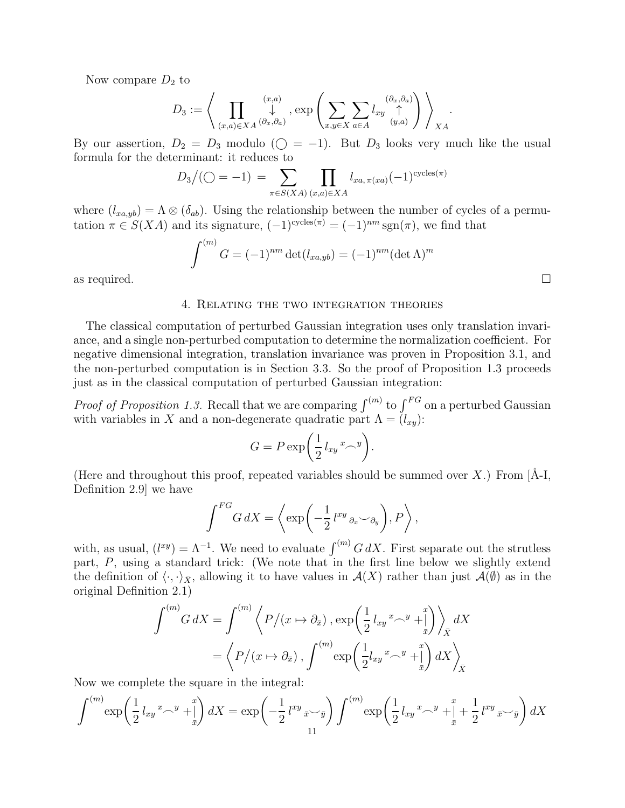Now compare  $D_2$  to

$$
D_3 := \left\langle \prod_{(x,a)\in XA} \biguplus_{(\partial_x,\partial_a)}^{(x,a)}, \exp\left(\sum_{x,y\in X} \sum_{a\in A} l_{xy} \biguplus_{(y,a)}^{(\partial_x,\partial_a)}\right) \right\rangle_{XA}.
$$

By our assertion,  $D_2 = D_3$  modulo ( $\bigcirc$  = -1). But  $D_3$  looks very much like the usual formula for the determinant: it reduces to

$$
D_3/(\bigcirc = -1) = \sum_{\pi \in S(XA)} \prod_{(x,a) \in XA} l_{xa, \pi(xa)}(-1)^{\text{cycles}(\pi)}
$$

where  $(l_{xa,yb}) = \Lambda \otimes (\delta_{ab})$ . Using the relationship between the number of cycles of a permutation  $\pi \in S(XA)$  and its signature,  $(-1)^{\text{cycles}(\pi)} = (-1)^{nm} \text{sgn}(\pi)$ , we find that

$$
\int^{(m)} G = (-1)^{nm} \det(l_{xa,yb}) = (-1)^{nm} (\det \Lambda)^m
$$
 as required.

# 4. Relating the two integration theories

The classical computation of perturbed Gaussian integration uses only translation invariance, and a single non-perturbed computation to determine the normalization coefficient. For negative dimensional integration, translation invariance was proven in Proposition 3.1, and the non-perturbed computation is in Section 3.3. So the proof of Proposition 1.3 proceeds just as in the classical computation of perturbed Gaussian integration:

*Proof of Proposition 1.3.* Recall that we are comparing  $\int^{(m)}$  to  $\int^{FG}$  on a perturbed Gaussian with variables in X and a non-degenerate quadratic part  $\Lambda = (l_{xy})$ :

$$
G = P \exp\bigg(\frac{1}{2}l_{xy}{}^{x} \bigg).
$$

(Here and throughout this proof, repeated variables should be summed over X.) From  $[A-I]$ , Definition 2.9] we have

$$
\int^{FG} G \, dX = \left\langle \exp\left(-\frac{1}{2} \, l^{xy} \, \partial_x \smile_{\partial_y}\right), P \right\rangle,
$$

with, as usual,  $(l^{xy}) = \Lambda^{-1}$ . We need to evaluate  $\int^{(m)} G dX$ . First separate out the strutless part, P, using a standard trick: (We note that in the first line below we slightly extend the definition of  $\langle \cdot, \cdot \rangle_{\bar{X}}$ , allowing it to have values in  $\mathcal{A}(X)$  rather than just  $\mathcal{A}(\emptyset)$  as in the original Definition 2.1)

$$
\int^{(m)} G \, dX = \int^{(m)} \left\langle P/(x \mapsto \partial_{\bar{x}}) \, , \exp\left(\frac{1}{2} l_{xy}{}^{x} \wedge^{y} + \frac{x}{x}\right) \right\rangle_{\bar{X}} dX
$$

$$
= \left\langle P/(x \mapsto \partial_{\bar{x}}) \, , \, \int^{(m)} \exp\left(\frac{1}{2} l_{xy}{}^{x} \wedge^{y} + \frac{x}{x}\right) dX \right\rangle_{\bar{X}}
$$

Now we complete the square in the integral:

$$
\int^{(m)} \exp\left(\frac{1}{2}l_{xy}{}^{x} \sim^{y} + \int_{\bar{x}}^{x} dX \right) dX = \exp\left(-\frac{1}{2}l^{xy}{}_{\bar{x}} \sim_{\bar{y}}\right) \int^{(m)} \exp\left(\frac{1}{2}l_{xy}{}^{x} \sim^{y} + \int_{\bar{x}}^{x} + \frac{1}{2}l^{xy}{}_{\bar{x}} \sim_{\bar{y}}\right) dX
$$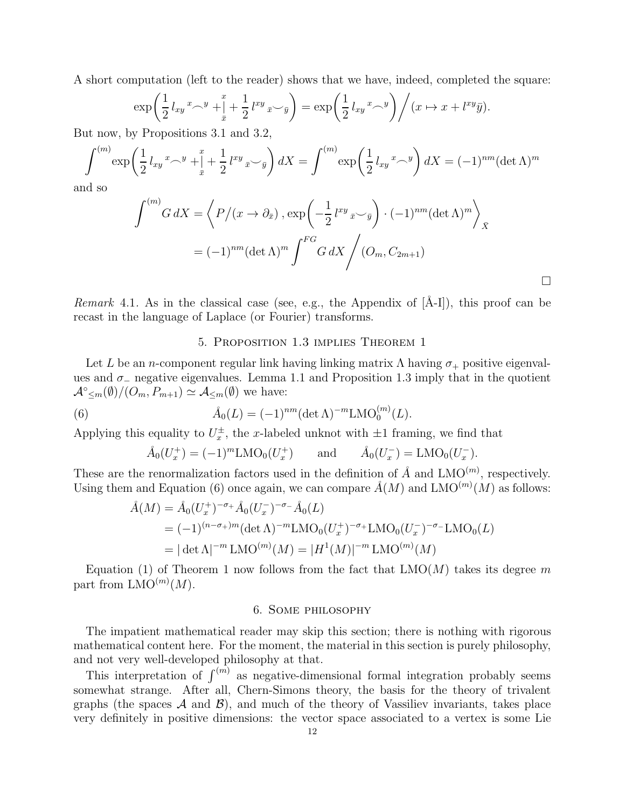A short computation (left to the reader) shows that we have, indeed, completed the square:

$$
\exp\left(\frac{1}{2}l_{xy}x^{-y} + \frac{x}{x} + \frac{1}{2}l^{xy}x^{-y}\right) = \exp\left(\frac{1}{2}l_{xy}x^{-y}\right) \Big/ (x \mapsto x + l^{xy}\bar{y}).
$$

But now, by Propositions 3.1 and 3.2,

$$
\int^{(m)} \exp\left(\frac{1}{2}l_{xy}x^{-y} + \frac{x}{x} + \frac{1}{2}l^{xy}x^{-y}\right)dX = \int^{(m)} \exp\left(\frac{1}{2}l_{xy}x^{-y}\right)dX = (-1)^{nm}(\det \Lambda)^m
$$

and so

$$
\int^{(m)} G \, dX = \left\langle P/(x \to \partial_{\bar{x}}) \, , \exp\left(-\frac{1}{2} l^{xy} \, {\bar{x}} \check{y} \right) \cdot (-1)^{nm} (\det \Lambda)^m \right\rangle_{\bar{X}}
$$

$$
= (-1)^{nm} (\det \Lambda)^m \int^{FG} G \, dX \Bigg/ (O_m, C_{2m+1})
$$

 $\Box$ 

Remark 4.1. As in the classical case (see, e.g., the Appendix of  $[\AA-II]$ ), this proof can be recast in the language of Laplace (or Fourier) transforms.

#### 5. Proposition 1.3 implies Theorem 1

Let L be an n-component regular link having linking matrix  $\Lambda$  having  $\sigma_+$  positive eigenvalues and  $\sigma_-\$  negative eigenvalues. Lemma 1.1 and Proposition 1.3 imply that in the quotient  $\mathcal{A}^{\circ}_{\leq m}(\emptyset)/(O_m, P_{m+1}) \simeq \mathcal{A}_{\leq m}(\emptyset)$  we have:

(6) 
$$
\hat{A}_0(L) = (-1)^{nm} (\det \Lambda)^{-m} \text{LMO}_0^{(m)}(L).
$$

Applying this equality to  $U_x^{\pm}$ , the x-labeled unknot with  $\pm 1$  framing, we find that

$$
\mathring{A}_0(U_x^+) = (-1)^m \text{LMO}_0(U_x^+) \quad \text{and} \quad \mathring{A}_0(U_x^-) = \text{LMO}_0(U_x^-).
$$

These are the renormalization factors used in the definition of  $\AA$  and LMO<sup>(m)</sup>, respectively. Using them and Equation (6) once again, we can compare  $\AA(M)$  and LMO<sup>(m)</sup>(M) as follows:

$$
\hat{A}(M) = \hat{A}_0 (U_x^+)^{-\sigma_+} \hat{A}_0 (U_x^-)^{-\sigma_-} \hat{A}_0 (L)
$$
  
=  $(-1)^{(n-\sigma_+)m} (\det \Lambda)^{-m} \text{LMO}_0 (U_x^+)^{-\sigma_+} \text{LMO}_0 (U_x^-)^{-\sigma_-} \text{LMO}_0 (L)$   
=  $|\det \Lambda|^{-m} \text{LMO}^{(m)}(M) = |H^1(M)|^{-m} \text{LMO}^{(m)}(M)$ 

Equation (1) of Theorem 1 now follows from the fact that  $LMO(M)$  takes its degree m part from  $\mathrm{LMO}^{(m)}(M)$ .

## 6. Some philosophy

The impatient mathematical reader may skip this section; there is nothing with rigorous mathematical content here. For the moment, the material in this section is purely philosophy, and not very well-developed philosophy at that.

This interpretation of  $\int^{(m)}$  as negative-dimensional formal integration probably seems somewhat strange. After all, Chern-Simons theory, the basis for the theory of trivalent graphs (the spaces  $\mathcal A$  and  $\mathcal B$ ), and much of the theory of Vassiliev invariants, takes place very definitely in positive dimensions: the vector space associated to a vertex is some Lie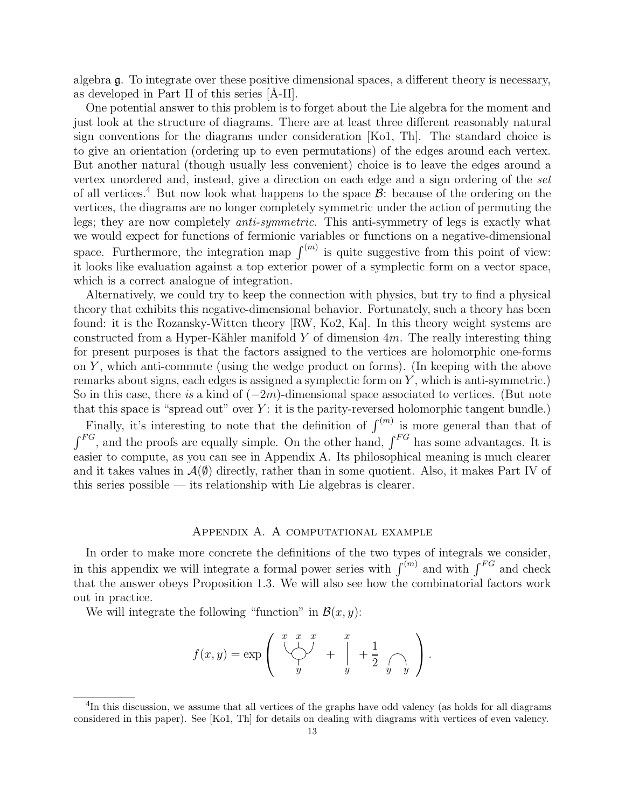algebra g. To integrate over these positive dimensional spaces, a different theory is necessary, as developed in Part II of this series  $[A-II]$ .

One potential answer to this problem is to forget about the Lie algebra for the moment and just look at the structure of diagrams. There are at least three different reasonably natural sign conventions for the diagrams under consideration [Ko1, Th]. The standard choice is to give an orientation (ordering up to even permutations) of the edges around each vertex. But another natural (though usually less convenient) choice is to leave the edges around a vertex unordered and, instead, give a direction on each edge and a sign ordering of the set of all vertices.<sup>4</sup> But now look what happens to the space  $\mathcal{B}$ : because of the ordering on the vertices, the diagrams are no longer completely symmetric under the action of permuting the legs; they are now completely anti-symmetric. This anti-symmetry of legs is exactly what we would expect for functions of fermionic variables or functions on a negative-dimensional space. Furthermore, the integration map  $\int^{(m)}$  is quite suggestive from this point of view: it looks like evaluation against a top exterior power of a symplectic form on a vector space, which is a correct analogue of integration.

Alternatively, we could try to keep the connection with physics, but try to find a physical theory that exhibits this negative-dimensional behavior. Fortunately, such a theory has been found: it is the Rozansky-Witten theory [RW, Ko2, Ka]. In this theory weight systems are constructed from a Hyper-Kähler manifold Y of dimension  $4m$ . The really interesting thing for present purposes is that the factors assigned to the vertices are holomorphic one-forms on  $Y$ , which anti-commute (using the wedge product on forms). (In keeping with the above remarks about signs, each edges is assigned a symplectic form on  $Y$ , which is anti-symmetric.) So in this case, there is a kind of  $(-2m)$ -dimensional space associated to vertices. (But note that this space is "spread out" over  $Y$ : it is the parity-reversed holomorphic tangent bundle.)

Finally, it's interesting to note that the definition of  $\int^{(m)}$  is more general than that of  $\int^{FG}$ , and the proofs are equally simple. On the other hand,  $\int^{FG}$  has some advantages. It is easier to compute, as you can see in Appendix A. Its philosophical meaning is much clearer and it takes values in  $\mathcal{A}(\emptyset)$  directly, rather than in some quotient. Also, it makes Part IV of this series possible — its relationship with Lie algebras is clearer.

#### Appendix A. A computational example

In order to make more concrete the definitions of the two types of integrals we consider, in this appendix we will integrate a formal power series with  $\int^{(m)}$  and with  $\int^{FG}$  and check that the answer obeys Proposition 1.3. We will also see how the combinatorial factors work out in practice.

We will integrate the following "function" in  $\mathcal{B}(x, y)$ :

$$
f(x,y) = \exp\left(\begin{array}{ccc} x & x & x \\ \bigcup_{y} & + \Big| & +\frac{1}{2} \Big|_{y} \\ y & y \end{array}\right).
$$

<sup>&</sup>lt;sup>4</sup>In this discussion, we assume that all vertices of the graphs have odd valency (as holds for all diagrams considered in this paper). See [Ko1, Th] for details on dealing with diagrams with vertices of even valency.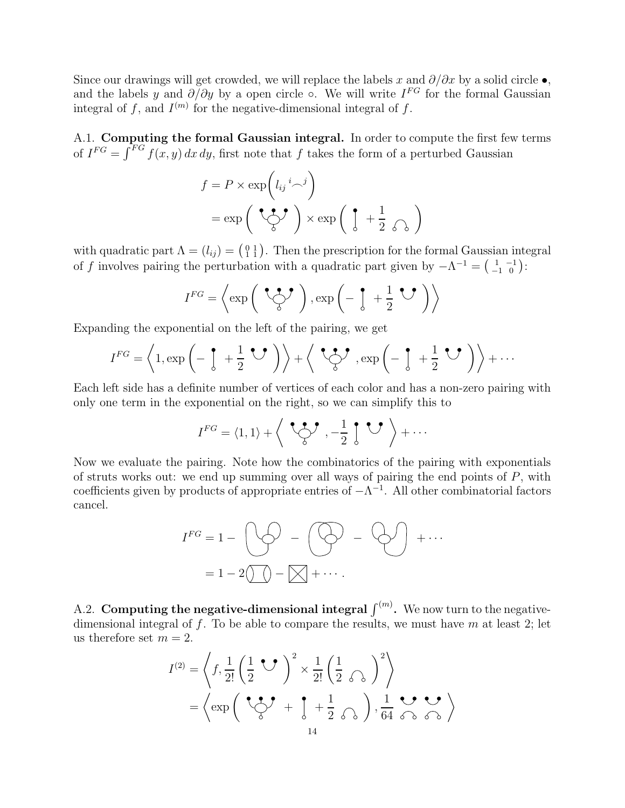Since our drawings will get crowded, we will replace the labels x and  $\partial/\partial x$  by a solid circle  $\bullet$ , and the labels y and  $\partial/\partial y$  by a open circle ∘. We will write  $I^{FG}$  for the formal Gaussian integral of f, and  $I^{(m)}$  for the negative-dimensional integral of f.

A.1. Computing the formal Gaussian integral. In order to compute the first few terms of  $I^{FG} = \int^{FG} f(x, y) dx dy$ , first note that f takes the form of a perturbed Gaussian

$$
f = P \times \exp\left(l_{ij}{}^{i} \sim^{j}\right)
$$

$$
= \exp\left(\int \int_{0}^{\bullet} \int f \times \exp\left(\int_{0}^{a} + \frac{1}{2} \int_{0}^{b} f \times \exp\left(\int_{0}^{a} + \frac{1}{2} \int_{0}^{b} f \times \exp\left(\int_{0}^{a} + \frac{1}{2} \int_{0}^{b} f \times \exp\left(\int_{0}^{a} + \frac{1}{2} \int_{0}^{b} f \times \exp\left(\int_{0}^{b} + \frac{1}{2} \int_{0}^{b} f \times \exp\left(\int_{0}^{b} + \frac{1}{2} \int_{0}^{b} f \times \exp\left(\int_{0}^{b} + \frac{1}{2} \int_{0}^{b} f \times \exp\left(\int_{0}^{b} + \frac{1}{2} \int_{0}^{b} f \times \exp\left(\int_{0}^{b} + \frac{1}{2} \int_{0}^{b} f \times \exp\left(\int_{0}^{b} + \frac{1}{2} \int_{0}^{b} f \times \exp\left(\int_{0}^{b} + \frac{1}{2} \int_{0}^{b} f \times \exp\left(\int_{0}^{b} + \frac{1}{2} \int_{0}^{b} + \frac{1}{2} \int_{0}^{b} f \times \exp\left(\int_{0}^{b} + \frac{1}{2} \int_{0}^{b} + \frac{1}{2} \int_{0}^{b} + \frac{1}{2} \int_{0}^{b} \right) \right)\right)\right)\right]
$$

with quadratic part  $\Lambda = (l_{ij}) = \begin{pmatrix} 0 & 1 \\ 1 & 1 \end{pmatrix}$ . Then the prescription for the formal Gaussian integral of f involves pairing the perturbation with a quadratic part given by  $-\Lambda^{-1} = \begin{pmatrix} 1 & -1 \\ -1 & 0 \end{pmatrix}$ :

$$
I^{FG} = \left\langle \exp\left(\begin{array}{c} \bullet \bullet \bullet \\ \bullet \bullet \end{array}\right), \exp\left(-\begin{array}{c} \bullet \\ \bullet \end{array} + \frac{1}{2} \begin{array}{c} \bullet \bullet \\ \bullet \end{array}\right) \right\rangle
$$

Expanding the exponential on the left of the pairing, we get

$$
I^{FG} = \left\langle 1, \exp\left(-\int_0^{\bullet} + \frac{1}{2} \mathbf{U} \right) \right\rangle + \left\langle \mathbf{U} \right\rangle, \exp\left(-\int_0^{\bullet} + \frac{1}{2} \mathbf{U} \right) \right\rangle + \cdots
$$

Each left side has a definite number of vertices of each color and has a non-zero pairing with only one term in the exponential on the right, so we can simplify this to

$$
I^{FG} = \langle 1, 1 \rangle + \left\langle \begin{array}{c} \bullet & \bullet \\ \bullet & \end{array}, -\frac{1}{2} \begin{array}{c} \bullet & \bullet \\ \bullet & \end{array} \right\rangle + \cdots
$$

Now we evaluate the pairing. Note how the combinatorics of the pairing with exponentials of struts works out: we end up summing over all ways of pairing the end points of  $P$ , with coefficients given by products of appropriate entries of  $-\Lambda^{-1}$ . All other combinatorial factors cancel.

$$
I^{FG} = 1 - \bigotimes \bigodot - \bigotimes - \bigotimes \bigodot + \cdots
$$

$$
= 1 - 2\bigotimes - \bigotimes + \cdots.
$$

A.2. Computing the negative-dimensional integral  $\int^{(m)}$ . We now turn to the negativedimensional integral of f. To be able to compare the results, we must have m at least 2; let us therefore set  $m = 2$ .

$$
I^{(2)} = \left\langle f, \frac{1}{2!} \left( \frac{1}{2} \bullet \bullet \right)^2 \times \frac{1}{2!} \left( \frac{1}{2} \circ \bullet \right)^2 \right\rangle
$$
  
=  $\left\langle \exp \left( \bullet \bullet \bullet \bullet \bullet \bullet \bullet \bullet \bullet \bullet \bullet \right) \right\rangle$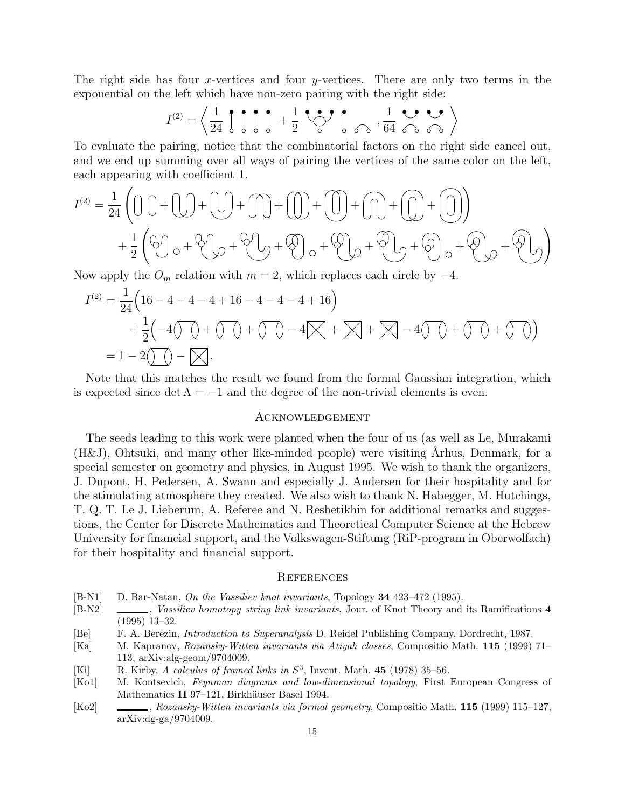The right side has four x-vertices and four  $y$ -vertices. There are only two terms in the exponential on the left which have non-zero pairing with the right side:

$$
I^{(2)} = \left\langle \frac{1}{24} \int_0^1 \int_0^1 \int_0^1 + \frac{1}{2} \int_0^1 \int_0^1 \int_0^1 \int_0^1 \int_0^1 \int_0^1 \int_0^1 \int_0^1 \int_0^1 \int_0^1 \int_0^1 \int_0^1 \int_0^1 \int_0^1 \int_0^1 \int_0^1 \int_0^1 \int_0^1 \int_0^1 \int_0^1 \int_0^1 \int_0^1 \int_0^1 \int_0^1 \int_0^1 \int_0^1 \int_0^1 \int_0^1 \int_0^1 \int_0^1 \int_0^1 \int_0^1 \int_0^1 \int_0^1 \int_0^1 \int_0^1 \int_0^1 \int_0^1 \int_0^1 \int_0^1 \int_0^1 \int_0^1 \int_0^1 \int_0^1 \int_0^1 \int_0^1 \int_0^1 \int_0^1 \int_0^1 \int_0^1 \int_0^1 \int_0^1 \int_0^1 \int_0^1 \int_0^1 \int_0^1 \int_0^1 \int_0^1 \int_0^1 \int_0^1 \int_0^1 \int_0^1 \int_0^1 \int_0^1 \int_0^1 \int_0^1 \int_0^1 \int_0^1 \int_0^1 \int_0^1 \int_0^1 \int_0^1 \int_0^1 \int_0^1 \int_0^1 \int_0^1 \int_0^1 \int_0^1 \int_0^1 \int_0^1 \int_0^1 \int_0^1 \int_0^1 \int_0^1 \int_0^1 \int_0^1 \int_0^1 \int_0^1 \int_0^1 \int_0^1 \int_0^1 \int_0^1 \int_0^1 \int_0^1 \int_0^1 \int_0^1 \int_0^1 \int_0^1 \int_0^1 \int_0^1 \int_0^1 \int_0^1 \int_0^1 \int_0^1 \int_0^1 \int_0^1 \int_0^1 \int_0^1 \int_0^1 \int_0^1 \int_0^1 \int_0^1 \int_0^1 \int_0^1 \int_0^1 \int_0^1 \int_0^1 \int_0^1 \int_0^1 \
$$

To evaluate the pairing, notice that the combinatorial factors on the right side cancel out, and we end up summing over all ways of pairing the vertices of the same color on the left, each appearing with coefficient 1.

$$
I^{(2)} = \frac{1}{24} \left( \bigcup_{i=1}^{3} \biguplus_{i=1}^{3} \biguplus_{i=1}^{3} \biguplus_{i=1}^{3} \biguplus_{i=1}^{3} \biguplus_{i=1}^{3} \biguplus_{i=1}^{3} \biguplus_{i=1}^{3} \biguplus_{i=1}^{3} \biguplus_{i=1}^{3} \biguplus_{i=1}^{3} \biguplus_{i=1}^{3} \biguplus_{i=1}^{3} \biguplus_{i=1}^{3} \biguplus_{i=1}^{3} \biguplus_{i=1}^{3} \biguplus_{i=1}^{3} \biguplus_{i=1}^{3} \biguplus_{i=1}^{3} \biguplus_{i=1}^{3} \biguplus_{i=1}^{3} \biguplus_{i=1}^{3} \biguplus_{i=1}^{3} \biguplus_{i=1}^{3} \biguplus_{i=1}^{3} \biguplus_{i=1}^{3} \biguplus_{i=1}^{3} \biguplus_{i=1}^{3} \biguplus_{i=1}^{3} \biguplus_{i=1}^{3} \biguplus_{i=1}^{3} \biguplus_{i=1}^{3} \biguplus_{i=1}^{3} \biguplus_{i=1}^{3} \biguplus_{i=1}^{3} \biguplus_{i=1}^{3} \biguplus_{i=1}^{3} \biguplus_{i=1}^{3} \biguplus_{i=1}^{3} \biguplus_{i=1}^{3} \biguplus_{i=1}^{3} \biguplus_{i=1}^{3} \biguplus_{i=1}^{3} \biguplus_{i=1}^{3} \biguplus_{i=1}^{3} \biguplus_{i=1}^{3} \biguplus_{i=1}^{3} \biguplus_{i=1}^{3} \biguplus_{i=1}^{3} \biguplus_{i=1}^{3} \biguplus_{i=1}^{3} \biguplus_{i=1}^{3} \biguplus_{i=1}^{3} \biguplus_{i=1}^{3} \biguplus_{i=1}^{3} \biguplus_{i=1}^{3} \biguplus_{i=1}^{3} \biguplus_{i=1}^{3} \biguplus_{i=1}^{3} \biguplus_{i=1}^{3} \biguplus_{i=1}^{3} \biguplus_{i=1}^{3
$$

Now apply the  $O_m$  relation with  $m = 2$ , which replaces each circle by  $-4$ .

$$
I^{(2)} = \frac{1}{24} \Big( 16 - 4 - 4 - 4 + 16 - 4 - 4 - 4 + 16 \Big) + \frac{1}{2} \Big( -4 \bigcirc (1) + \bigcirc (1) + \bigcirc (1) - 4 \bigotimes (1) + \bigotimes (1) + \bigotimes (1) + \bigcirc (1) + \bigcirc (1) \Big) = 1 - 2 \bigcirc (1) - \bigotimes.
$$

Note that this matches the result we found from the formal Gaussian integration, which is expected since det  $\Lambda = -1$  and the degree of the non-trivial elements is even.

#### Acknowledgement

The seeds leading to this work were planted when the four of us (as well as Le, Murakami  $(H&J)$ , Ohtsuki, and many other like-minded people) were visiting Arhus, Denmark, for a special semester on geometry and physics, in August 1995. We wish to thank the organizers, J. Dupont, H. Pedersen, A. Swann and especially J. Andersen for their hospitality and for the stimulating atmosphere they created. We also wish to thank N. Habegger, M. Hutchings, T. Q. T. Le J. Lieberum, A. Referee and N. Reshetikhin for additional remarks and suggestions, the Center for Discrete Mathematics and Theoretical Computer Science at the Hebrew University for financial support, and the Volkswagen-Stiftung (RiP-program in Oberwolfach) for their hospitality and financial support.

#### **REFERENCES**

- [B-N1] D. Bar-Natan, On the Vassiliev knot invariants, Topology 34 423–472 (1995).
- [B-N2]  $\qquad \qquad \qquad$ , Vassiliev homotopy string link invariants, Jour. of Knot Theory and its Ramifications 4 (1995) 13–32.
- [Be] F. A. Berezin, Introduction to Superanalysis D. Reidel Publishing Company, Dordrecht, 1987.
- [Ka] M. Kapranov, Rozansky-Witten invariants via Atiyah classes, Compositio Math. 115 (1999) 71– 113, arXiv:alg-geom/9704009.
- [Ki] R. Kirby, A calculus of framed links in  $S^3$ , Invent. Math. 45 (1978) 35-56.
- [Ko1] M. Kontsevich, *Feynman diagrams and low-dimensional topology*, First European Congress of Mathematics II 97-121, Birkhäuser Basel 1994.
- [Ko2] , Rozansky-Witten invariants via formal geometry, Compositio Math. 115 (1999) 115–127, arXiv:dg-ga/9704009.